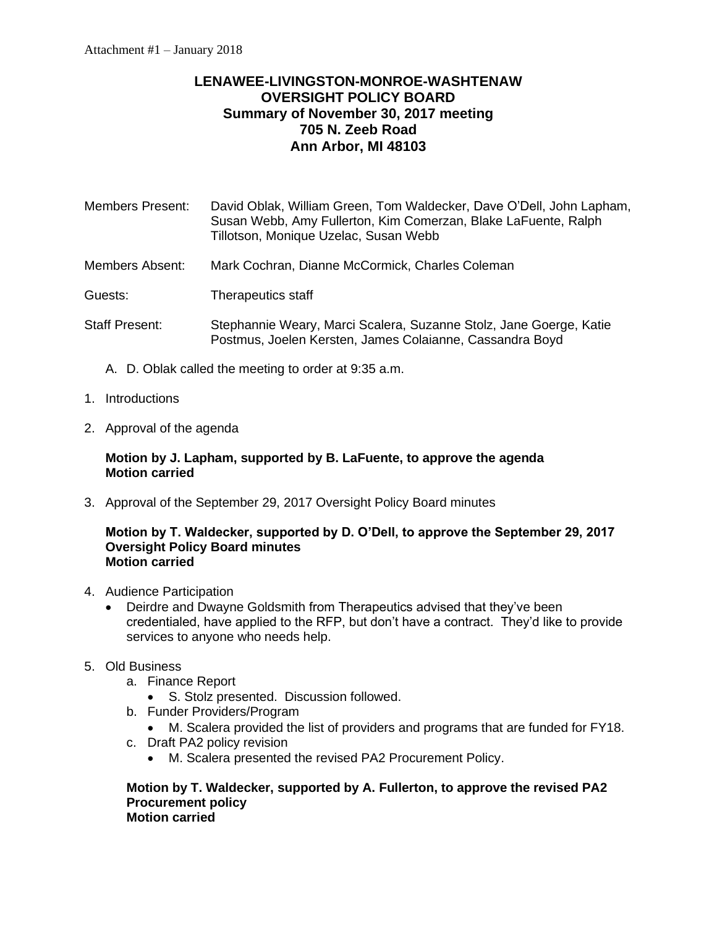# **LENAWEE-LIVINGSTON-MONROE-WASHTENAW OVERSIGHT POLICY BOARD Summary of November 30, 2017 meeting 705 N. Zeeb Road Ann Arbor, MI 48103**

Members Present: David Oblak, William Green, Tom Waldecker, Dave O'Dell, John Lapham, Susan Webb, Amy Fullerton, Kim Comerzan, Blake LaFuente, Ralph Tillotson, Monique Uzelac, Susan Webb

Members Absent: Mark Cochran, Dianne McCormick, Charles Coleman

Guests: Therapeutics staff

- Staff Present: Stephannie Weary, Marci Scalera, Suzanne Stolz, Jane Goerge, Katie Postmus, Joelen Kersten, James Colaianne, Cassandra Boyd
	- A. D. Oblak called the meeting to order at 9:35 a.m.
- 1. Introductions
- 2. Approval of the agenda

# **Motion by J. Lapham, supported by B. LaFuente, to approve the agenda Motion carried**

3. Approval of the September 29, 2017 Oversight Policy Board minutes

#### **Motion by T. Waldecker, supported by D. O'Dell, to approve the September 29, 2017 Oversight Policy Board minutes Motion carried**

- 4. Audience Participation
	- Deirdre and Dwayne Goldsmith from Therapeutics advised that they've been credentialed, have applied to the RFP, but don't have a contract. They'd like to provide services to anyone who needs help.
- 5. Old Business
	- a. Finance Report
		- S. Stolz presented. Discussion followed.
	- b. Funder Providers/Program
		- M. Scalera provided the list of providers and programs that are funded for FY18.
	- c. Draft PA2 policy revision
		- M. Scalera presented the revised PA2 Procurement Policy.

#### **Motion by T. Waldecker, supported by A. Fullerton, to approve the revised PA2 Procurement policy Motion carried**